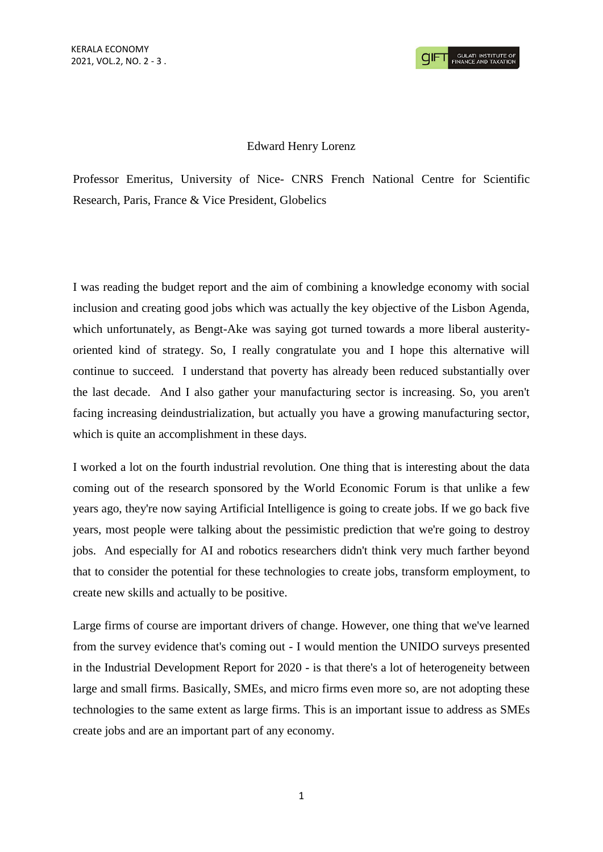## Edward Henry Lorenz

Professor Emeritus, University of Nice- CNRS French National Centre for Scientific Research, Paris, France & Vice President, Globelics

I was reading the budget report and the aim of combining a knowledge economy with social inclusion and creating good jobs which was actually the key objective of the Lisbon Agenda, which unfortunately, as Bengt-Ake was saying got turned towards a more liberal austerityoriented kind of strategy. So, I really congratulate you and I hope this alternative will continue to succeed. I understand that poverty has already been reduced substantially over the last decade. And I also gather your manufacturing sector is increasing. So, you aren't facing increasing deindustrialization, but actually you have a growing manufacturing sector, which is quite an accomplishment in these days.

I worked a lot on the fourth industrial revolution. One thing that is interesting about the data coming out of the research sponsored by the World Economic Forum is that unlike a few years ago, they're now saying Artificial Intelligence is going to create jobs. If we go back five years, most people were talking about the pessimistic prediction that we're going to destroy jobs. And especially for AI and robotics researchers didn't think very much farther beyond that to consider the potential for these technologies to create jobs, transform employment, to create new skills and actually to be positive.

Large firms of course are important drivers of change. However, one thing that we've learned from the survey evidence that's coming out - I would mention the UNIDO surveys presented in the Industrial Development Report for 2020 - is that there's a lot of heterogeneity between large and small firms. Basically, SMEs, and micro firms even more so, are not adopting these technologies to the same extent as large firms. This is an important issue to address as SMEs create jobs and are an important part of any economy.

1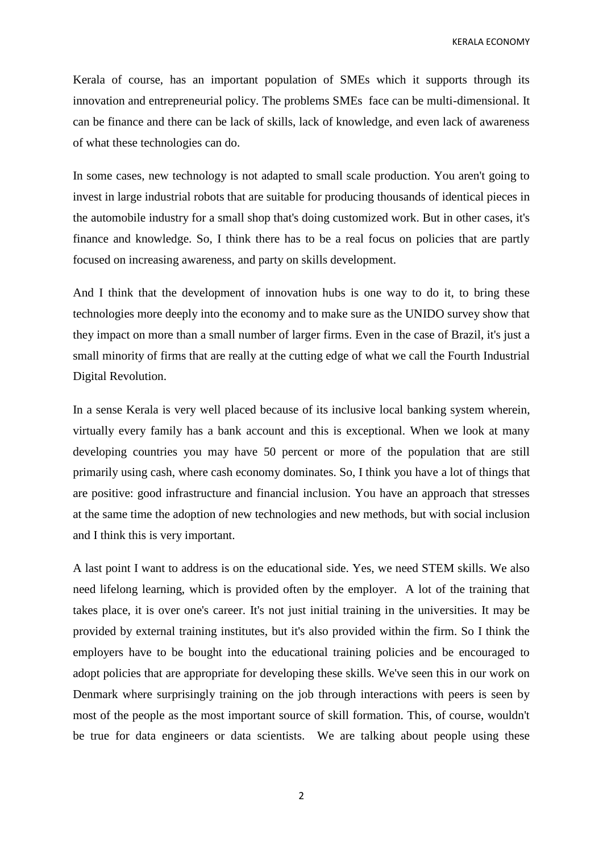Kerala of course, has an important population of SMEs which it supports through its innovation and entrepreneurial policy. The problems SMEs face can be multi-dimensional. It can be finance and there can be lack of skills, lack of knowledge, and even lack of awareness of what these technologies can do.

In some cases, new technology is not adapted to small scale production. You aren't going to invest in large industrial robots that are suitable for producing thousands of identical pieces in the automobile industry for a small shop that's doing customized work. But in other cases, it's finance and knowledge. So, I think there has to be a real focus on policies that are partly focused on increasing awareness, and party on skills development.

And I think that the development of innovation hubs is one way to do it, to bring these technologies more deeply into the economy and to make sure as the UNIDO survey show that they impact on more than a small number of larger firms. Even in the case of Brazil, it's just a small minority of firms that are really at the cutting edge of what we call the Fourth Industrial Digital Revolution.

In a sense Kerala is very well placed because of its inclusive local banking system wherein, virtually every family has a bank account and this is exceptional. When we look at many developing countries you may have 50 percent or more of the population that are still primarily using cash, where cash economy dominates. So, I think you have a lot of things that are positive: good infrastructure and financial inclusion. You have an approach that stresses at the same time the adoption of new technologies and new methods, but with social inclusion and I think this is very important.

A last point I want to address is on the educational side. Yes, we need STEM skills. We also need lifelong learning, which is provided often by the employer. A lot of the training that takes place, it is over one's career. It's not just initial training in the universities. It may be provided by external training institutes, but it's also provided within the firm. So I think the employers have to be bought into the educational training policies and be encouraged to adopt policies that are appropriate for developing these skills. We've seen this in our work on Denmark where surprisingly training on the job through interactions with peers is seen by most of the people as the most important source of skill formation. This, of course, wouldn't be true for data engineers or data scientists. We are talking about people using these